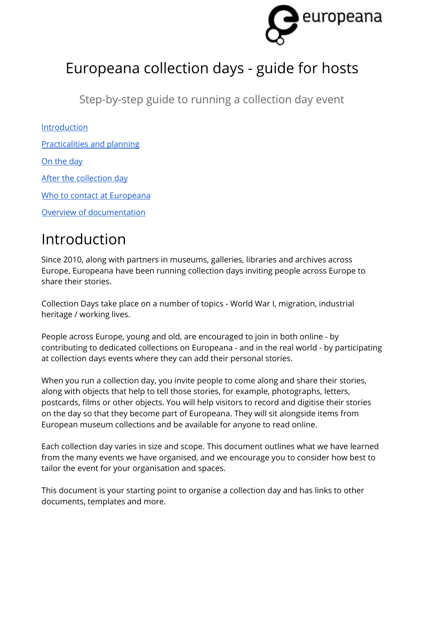

# Europeana collection days - guide for hosts

Step-by-step guide to running a collection day event

[Introduction](#page-0-0)

[Practicalities](#page-1-0) and planning

On the day

After the [collection](#page-3-0) day

Who to contact at Europeana

Overview of [documentation](#page-4-0)

# <span id="page-0-0"></span>Introduction

Since 2010, along with partners in museums, galleries, libraries and archives across Europe, Europeana have been running collection days inviting people across Europe to share their stories.

Collection Days take place on a number of topics - World War I, migration, industrial heritage / working lives.

People across Europe, young and old, are encouraged to join in both online - by contributing to dedicated collections on Europeana - and in the real world - by participating at collection days events where they can add their personal stories.

When you run a collection day, you invite people to come along and share their stories, along with objects that help to tell those stories, for example, photographs, letters, postcards, films or other objects. You will help visitors to record and digitise their stories on the day so that they become part of Europeana. They will sit alongside items from European museum collections and be available for anyone to read online.

Each collection day varies in size and scope. This document outlines what we have learned from the many events we have organised, and we encourage you to consider how best to tailor the event for your organisation and spaces.

This document is your starting point to organise a collection day and has links to other documents, templates and more.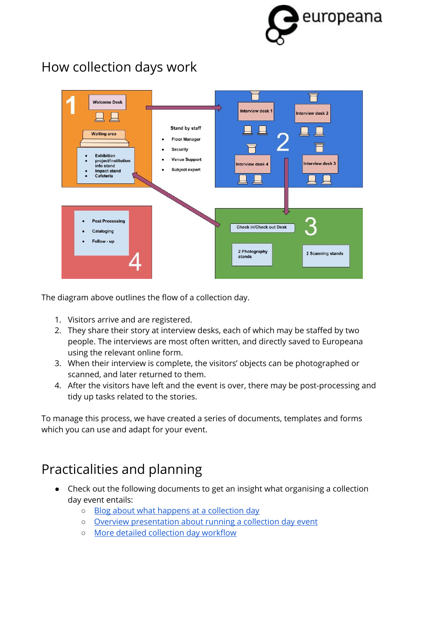

## How collection days work



The diagram above outlines the flow of a collection day.

- 1. Visitors arrive and are registered.
- 2. They share their story at interview desks, each of which may be staffed by two people. The interviews are most often written, and directly saved to Europeana using the relevant online form.
- 3. When their interview is complete, the visitors' objects can be photographed or scanned, and later returned to them.
- 4. After the visitors have left and the event is over, there may be post-processing and tidy up tasks related to the stories.

To manage this process, we have created a series of documents, templates and forms which you can use and adapt for your event.

## <span id="page-1-0"></span>Practicalities and planning

- Check out the following documents to get an insight what organising a collection day event entails:
	- o Blog about what happens at a [collection](http://blog.europeana.eu/2018/08/europeana-migration-collection-day-how-does-it-work/) day
	- Overview [presentation](https://docs.google.com/presentation/d/10Y_llkbig0S2mEQUJ0PDlU6rLSaoxFfDN7uCxcpmJTg/edit?usp=sharing) about running a collection day event
	- More detailed [collection](https://docs.google.com/document/d/1QHINC-9_54IfreIb-emXwyt5jVSkgkEcHoJeZVfFnXc/edit?usp=sharing) day workflow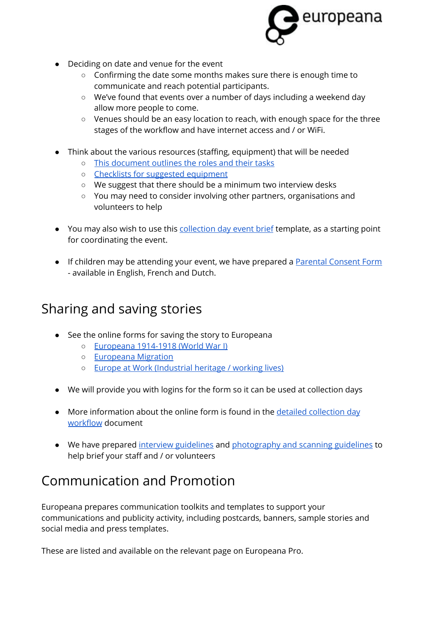

- Deciding on date and venue for the event
	- Confirming the date some months makes sure there is enough time to communicate and reach potential participants.
	- We've found that events over a number of days including a weekend day allow more people to come.
	- Venues should be an easy location to reach, with enough space for the three stages of the workflow and have internet access and / or WiFi.
- Think about the various resources (staffing, equipment) that will be needed
	- This [document](https://docs.google.com/spreadsheets/d/1QeFiiKWPYm008Hk3TvkofcB7RK9k6VQmYFkXw0G9zsI/edit?usp=sharing) outlines the roles and their tasks
	- Checklists for suggested [equipment](https://docs.google.com/document/d/1HVk16nwfZ0GNLm-C82OyhSmXPiHgO2dS5vPwvQ4psEs/edit?usp=sharing)
	- We suggest that there should be a minimum two interview desks
	- You may need to consider involving other partners, organisations and volunteers to help
- You may also wish to use this [collection](https://docs.google.com/document/d/1ZspZmPSGB51c-yPUUIuBFuXLQGn_VuIE1T8YwaPzz_s/edit?usp=sharing) day event brief template, as a starting point for coordinating the event.
- If children may be attending your event, we have prepared a Parental [Consent](https://docs.google.com/document/d/17-_1eipYT8BzkEoNNrvDiSFVrFm1vFcs6HDaie9Zo3o/edit?usp=sharing) Form - available in English, French and Dutch.

### Sharing and saving stories

- See the online forms for saving the story to Europeana
	- [Europeana](https://www.europeana.eu/portal/en/collections/world-war-I/contribute#action=contributor) 1914-1918 (World War I)
	- [Europeana](https://migration.europeana.eu/share) Migration
	- Europe at Work [\(Industrial](https://contribute.europeana.eu/europe-at-work) heritage / working lives)
- We will provide you with logins for the form so it can be used at collection days
- More information about the online form is found in the detailed [collection](https://docs.google.com/document/d/1QHINC-9_54IfreIb-emXwyt5jVSkgkEcHoJeZVfFnXc/edit?usp=sharing) day [workflow](https://docs.google.com/document/d/1QHINC-9_54IfreIb-emXwyt5jVSkgkEcHoJeZVfFnXc/edit?usp=sharing) document
- We have prepared interview [guidelines](https://docs.google.com/document/d/1FQ9Uuhvh4DCkd6pV4vMHVX4ZW9jV7jxkrPgc3VVZBY8/edit?usp=sharing) and [photography](https://docs.google.com/document/d/1JT0cYFx7jkr2reiNn49eqlMVrQp7UbjEK37kplTnTpI/edit?usp=sharing) and scanning guidelines to help brief your staff and / or volunteers

## Communication and Promotion

Europeana prepares communication toolkits and templates to support your communications and publicity activity, including postcards, banners, sample stories and social media and press templates.

These are listed and available on the relevant page on Europeana Pro.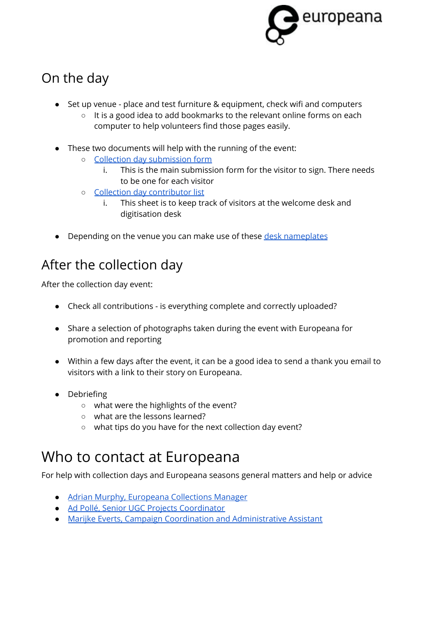

## On the day

- Set up venue place and test furniture & equipment, check wifi and computers
	- It is a good idea to add bookmarks to the relevant online forms on each computer to help volunteers find those pages easily.
- These two documents will help with the running of the event:
	- Collection day [submission](https://docs.google.com/document/d/171cgZDAE6f9hbQ9coZrjSbW7h27y_YPVdYjmzYSknpc/edit?usp=sharing) form
		- i. This is the main submission form for the visitor to sign. There needs to be one for each visitor
	- Collection day [contributor](https://docs.google.com/document/d/1gvCoVALzwHpzxMRWF2QpCeRkSpFPbu0u77_O3HJh100/edit?usp=sharing) list
		- i. This sheet is to keep track of visitors at the welcome desk and digitisation desk
- Depending on the venue you can make use of these desk [nameplates](https://docs.google.com/document/d/1Am9bF7eIM6yYRr3c_JDA2eNfTj0HjeXsC4sXDPfDypU/edit?usp=sharing)

# <span id="page-3-0"></span>After the collection day

After the collection day event:

- Check all contributions is everything complete and correctly uploaded?
- Share a selection of photographs taken during the event with Europeana for promotion and reporting
- Within a few days after the event, it can be a good idea to send a thank you email to visitors with a link to their story on Europeana.
- Debriefing
	- what were the highlights of the event?
	- what are the lessons learned?
	- what tips do you have for the next collection day event?

# Who to contact at Europeana

For help with collection days and Europeana seasons general matters and help or advice

- Adrian Murphy, [Europeana](https://pro.europeana.eu/person/adrian-murphy) Collections Manager
- Ad Pollé, Senior UGC Projects [Coordinator](https://pro.europeana.eu/person/ad-polle)
- Marijke Everts, Campaign Coordination and [Administrative](https://pro.europeana.eu/person/marijke-everts) Assistant